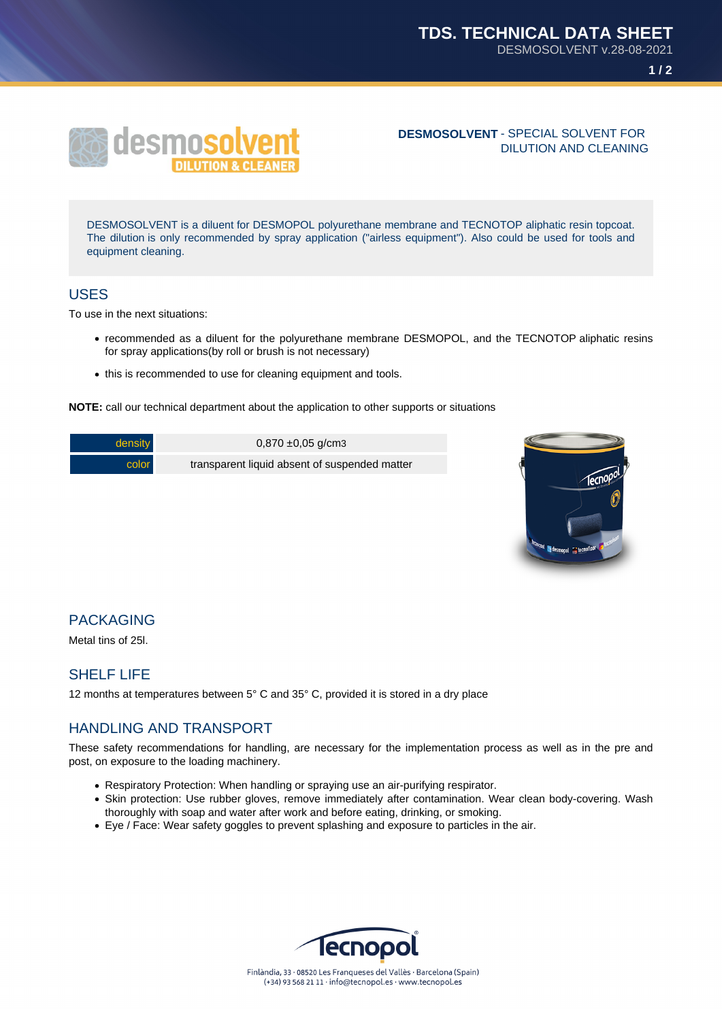**1 / 2**



#### **DESMOSOLVENT** - SPECIAL SOLVENT FOR DILUTION AND CLEANING

DESMOSOLVENT is a diluent for DESMOPOL polyurethane membrane and TECNOTOP aliphatic resin topcoat. The dilution is only recommended by spray application ("airless equipment"). Also could be used for tools and equipment cleaning.

### USES

To use in the next situations:

- recommended as a diluent for the polyurethane membrane DESMOPOL, and the TECNOTOP aliphatic resins for spray applications(by roll or brush is not necessary)
- this is recommended to use for cleaning equipment and tools.

**NOTE:** call our technical department about the application to other supports or situations

| density | $0,870 \pm 0,05$ g/cm3                        |
|---------|-----------------------------------------------|
| color   | transparent liquid absent of suspended matter |



## PACKAGING

Metal tins of 25l.

# SHELF LIFE

12 months at temperatures between 5° C and 35° C, provided it is stored in a dry place

### HANDLING AND TRANSPORT

These safety recommendations for handling, are necessary for the implementation process as well as in the pre and post, on exposure to the loading machinery.

- Respiratory Protection: When handling or spraying use an air-purifying respirator.
- Skin protection: Use rubber gloves, remove immediately after contamination. Wear clean body-covering. Wash thoroughly with soap and water after work and before eating, drinking, or smoking.
- Eye / Face: Wear safety goggles to prevent splashing and exposure to particles in the air.